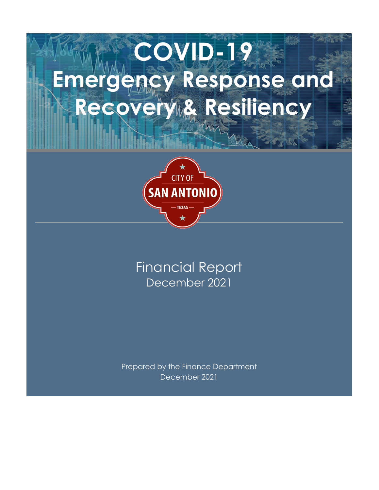# **COVID-19 Emergency Response and**  Recovery & Resiliency



## December 2021 Financial Report

Prepared by the Finance Department December 2021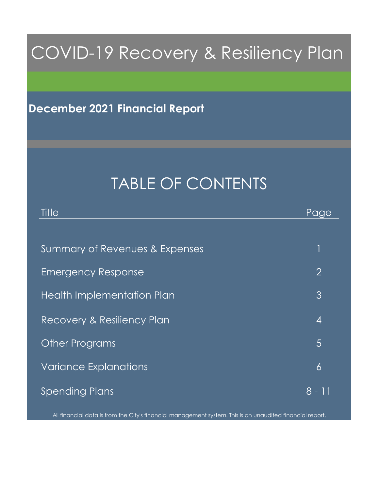## COVID-19 Recovery & Resiliency Plan

## **December 2021 Financial Report**

## TABLE OF CONTENTS

| Title                          | Page           |
|--------------------------------|----------------|
|                                |                |
| Summary of Revenues & Expenses |                |
| <b>Emergency Response</b>      | $\overline{2}$ |
| Health Implementation Plan     | 3              |
| Recovery & Resiliency Plan     | $\overline{4}$ |
| <b>Other Programs</b>          | 5              |
| <b>Variance Explanations</b>   | $\overline{6}$ |
| <b>Spending Plans</b>          | 8 - 11         |

All financial data is from the City's financial management system. This is an unaudited financial report.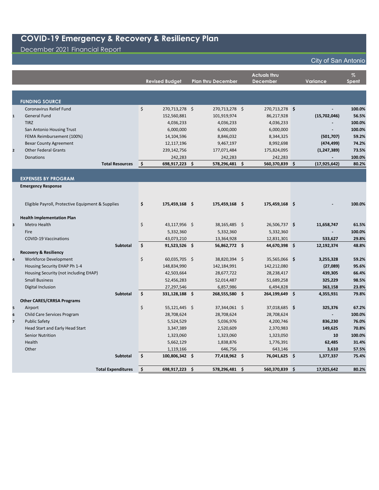## December 2021 Financial Report

|                         |                                                   |               | <b>Revised Budget</b>       | <b>Plan thru December</b>   | <b>Actuals thru</b><br><b>December</b> |    | Variance                 | $\%$<br><b>Spent</b> |
|-------------------------|---------------------------------------------------|---------------|-----------------------------|-----------------------------|----------------------------------------|----|--------------------------|----------------------|
|                         |                                                   |               |                             |                             |                                        |    |                          |                      |
|                         | <b>FUNDING SOURCE</b>                             |               |                             |                             |                                        |    |                          |                      |
|                         | Coronavirus Relief Fund                           | \$            | 270,713,278 \$              | 270,713,278 \$              | 270,713,278 \$                         |    |                          | 100.0%               |
| $\mathbf{1}$            | <b>General Fund</b>                               |               | 152,560,881                 | 101,919,974                 | 86,217,928                             |    | (15,702,046)             | 56.5%                |
|                         | <b>TIRZ</b>                                       |               | 4,036,233                   | 4,036,233                   | 4,036,233                              |    |                          | 100.0%               |
|                         | San Antonio Housing Trust                         |               | 6,000,000                   | 6,000,000                   | 6,000,000                              |    |                          | 100.0%               |
|                         | FEMA Reimbursement (100%)                         |               | 14,104,596                  | 8,846,032                   | 8,344,325                              |    | (501, 707)               | 59.2%                |
|                         | <b>Bexar County Agreement</b>                     |               | 12,117,196                  | 9,467,197                   | 8,992,698                              |    | (474, 499)               | 74.2%                |
| $\overline{\mathbf{2}}$ | <b>Other Federal Grants</b>                       |               | 239,142,756                 | 177,071,484                 | 175,824,095                            |    | (1, 247, 389)            | 73.5%                |
|                         | <b>Donations</b>                                  |               | 242,283                     | 242,283                     | 242,283                                |    |                          | 100.0%               |
|                         | <b>Total Resources</b>                            | $\mathsf{\$}$ | 698,917,223 \$              | 578,296,481 \$              | 560,370,839 \$                         |    | (17, 925, 642)           | 80.2%                |
|                         |                                                   |               |                             |                             |                                        |    |                          |                      |
|                         | <b>EXPENSES BY PROGRAM</b>                        |               |                             |                             |                                        |    |                          |                      |
|                         | <b>Emergency Response</b>                         |               |                             |                             |                                        |    |                          |                      |
|                         |                                                   |               |                             |                             |                                        |    |                          |                      |
|                         | Eligible Payroll, Protective Equipment & Supplies | \$            | 175,459,168 \$              | 175,459,168 \$              | 175,459,168 \$                         |    |                          | 100.0%               |
|                         |                                                   |               |                             |                             |                                        |    |                          |                      |
|                         | <b>Health Implementation Plan</b>                 |               |                             |                             |                                        |    |                          |                      |
| 3                       | <b>Metro Health</b>                               | \$            | 43,117,956 \$               | 38,165,485 \$               | 26,506,737 \$                          |    | 11,658,747               | 61.5%                |
|                         | Fire                                              |               | 5,332,360                   | 5,332,360                   | 5,332,360                              |    |                          | 100.0%               |
|                         | <b>COVID-19 Vaccinations</b><br><b>Subtotal</b>   | \$            | 43,073,210<br>91,523,526 \$ | 13,364,928<br>56,862,772 \$ | 12,831,301<br>44,670,398 \$            |    | 533,627<br>12,192,374    | 29.8%<br>48.8%       |
|                         | <b>Recovery &amp; Resiliency</b>                  |               |                             |                             |                                        |    |                          |                      |
| $\overline{\mathbf{4}}$ | <b>Workforce Development</b>                      | \$            | 60,035,705 \$               | 38,820,394 \$               | 35,565,066 \$                          |    | 3,255,328                | 59.2%                |
|                         | Housing Security EHAP Ph 1-4                      |               | 148,834,990                 | 142,184,991                 | 142,212,080                            |    | (27,089)                 | 95.6%                |
|                         | Housing Security (not including EHAP)             |               | 42,503,664                  | 28,677,722                  | 28,238,417                             |    | 439,305                  | 66.4%                |
|                         | <b>Small Business</b>                             |               | 52,456,283                  | 52,014,487                  | 51,689,258                             |    | 325,229                  | 98.5%                |
|                         | Digital Inclusion                                 |               | 27,297,546                  | 6,857,986                   | 6,494,828                              |    | 363,158                  | 23.8%                |
|                         | <b>Subtotal</b>                                   | Ś.            | 331,128,188 \$              | 268,555,580 \$              | 264,199,649 \$                         |    | 4,355,931                | 79.8%                |
|                         | <b>Other CARES/CRRSA Programs</b>                 |               |                             |                             |                                        |    |                          |                      |
| 5                       | Airport                                           | \$            | 55,121,445 \$               | 37,344,061 \$               | 37,018,685 \$                          |    | 325,376                  | 67.2%                |
| 6                       | Child Care Services Program                       |               | 28,708,624                  | 28,708,624                  | 28,708,624                             |    | $\overline{\phantom{a}}$ | 100.0%               |
| $\overline{\mathbf{z}}$ | <b>Public Safety</b>                              |               | 5,524,529                   | 5,036,976                   | 4,200,746                              |    | 836,230                  | 76.0%                |
|                         | Head Start and Early Head Start                   |               | 3,347,389                   | 2,520,609                   | 2,370,983                              |    | 149,625                  | 70.8%                |
|                         | <b>Senior Nutrition</b>                           |               | 1,323,060                   | 1,323,060                   | 1,323,050                              |    | 10                       | 100.0%               |
|                         | Health                                            |               | 5,662,129                   | 1,838,876                   | 1,776,391                              |    | 62,485                   | 31.4%                |
|                         | Other                                             |               | 1,119,166                   | 646,756                     | 643,146                                |    | 3,610                    | 57.5%                |
|                         | <b>Subtotal</b>                                   | \$            | 100,806,342 \$              | 77,418,962 \$               | 76,041,625 \$                          |    | 1,377,337                | 75.4%                |
|                         | <b>Total Expenditures</b>                         | \$            | 698,917,223 \$              | 578,296,481 \$              | 560.370.839                            | Ŝ. | 17.925.642               | 80.2%                |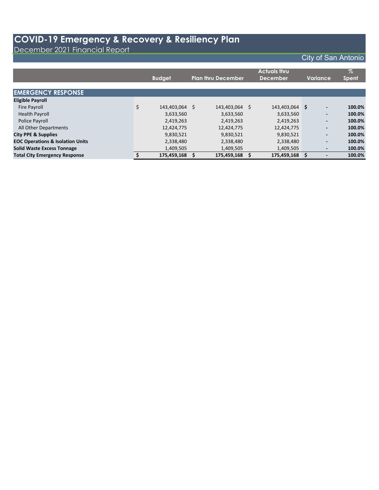December 2021 Financial Report

|                                             | <b>Budget</b>        | <b>Plan thru December</b> |    | <b>Actuals thru</b><br><b>December</b> |     | Variance,                | $\%$<br><b>Spent</b> |
|---------------------------------------------|----------------------|---------------------------|----|----------------------------------------|-----|--------------------------|----------------------|
| <b>EMERGENCY RESPONSE</b>                   |                      |                           |    |                                        |     |                          |                      |
| <b>Eligible Payroll</b>                     |                      |                           |    |                                        |     |                          |                      |
| <b>Fire Payroll</b>                         | \$<br>143,403,064 \$ | 143,403,064               | S. | 143,403,064                            | \$. | $\overline{\phantom{a}}$ | 100.0%               |
| <b>Health Payroll</b>                       | 3,633,560            | 3,633,560                 |    | 3,633,560                              |     | $\overline{\phantom{a}}$ | 100.0%               |
| Police Payroll                              | 2,419,263            | 2,419,263                 |    | 2,419,263                              |     | $\overline{\phantom{a}}$ | 100.0%               |
| All Other Departments                       | 12,424,775           | 12,424,775                |    | 12,424,775                             |     | $\overline{\phantom{a}}$ | 100.0%               |
| <b>City PPE &amp; Supplies</b>              | 9,830,521            | 9,830,521                 |    | 9,830,521                              |     | $\overline{\phantom{a}}$ | 100.0%               |
| <b>EOC Operations &amp; Isolation Units</b> | 2,338,480            | 2,338,480                 |    | 2,338,480                              |     | $\overline{\phantom{a}}$ | 100.0%               |
| <b>Solid Waste Excess Tonnage</b>           | 1,409,505            | 1,409,505                 |    | 1,409,505                              |     |                          | 100.0%               |
| <b>Total City Emergency Response</b>        | 175,459,168 \$       | 175,459,168               |    | 175,459,168                            |     |                          | 100.0%               |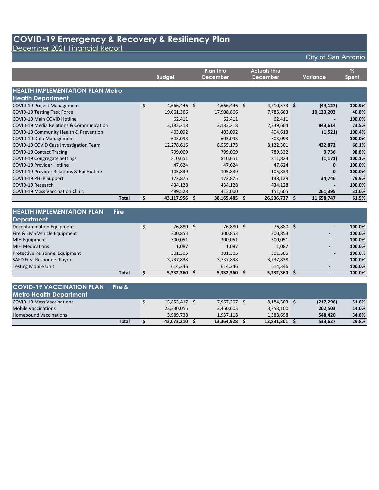December 2021 Financial Report

### City of San Antonio

|                                           |    | <b>Budget</b> |    | <b>Plan thru</b><br><b>December</b> |   | <b>Actuals thru</b><br><b>December</b> |   | Variance   | $\frac{1}{2}$<br><b>Spent</b> |
|-------------------------------------------|----|---------------|----|-------------------------------------|---|----------------------------------------|---|------------|-------------------------------|
|                                           |    |               |    |                                     |   |                                        |   |            |                               |
| <b>HEALTH IMPLEMENTATION PLAN Metro</b>   |    |               |    |                                     |   |                                        |   |            |                               |
| <b>Health Department</b>                  |    |               |    |                                     |   |                                        |   |            |                               |
| <b>COVID-19 Project Management</b>        | \$ | 4,666,446 \$  |    | 4,666,446 \$                        |   | $4,710,573$ \$                         |   | (44, 127)  | 100.9%                        |
| <b>COVID-19 Testing Task Force</b>        |    | 19,061,366    |    | 17,908,866                          |   | 7,785,663                              |   | 10,123,203 | 40.8%                         |
| COVID-19 Main COVID Hotline               |    | 62,411        |    | 62,411                              |   | 62,411                                 |   |            | 100.0%                        |
| COVID-19 Media Relations & Communication  |    | 3,183,218     |    | 3,183,218                           |   | 2,339,604                              |   | 843,614    | 73.5%                         |
| COVID-19 Community Health & Prevention    |    | 403,092       |    | 403,092                             |   | 404,613                                |   | (1,521)    | 100.4%                        |
| COVID-19 Data Management                  |    | 603,093       |    | 603,093                             |   | 603,093                                |   |            | 100.0%                        |
| COVID-19 COVID Case Investigation Team    |    | 12,278,616    |    | 8,555,173                           |   | 8,122,301                              |   | 432,872    | 66.1%                         |
| <b>COVID-19 Contact Tracing</b>           |    | 799,069       |    | 799,069                             |   | 789,332                                |   | 9,736      | 98.8%                         |
| COVID-19 Congregate Settings              |    | 810,651       |    | 810,651                             |   | 811,823                                |   | (1, 171)   | 100.1%                        |
| <b>COVID-19 Provider Hotline</b>          |    | 47,624        |    | 47,624                              |   | 47,624                                 |   | 0          | 100.0%                        |
| COVID-19 Provider Relations & Epi Hotline |    | 105,839       |    | 105,839                             |   | 105,839                                |   | 0          | 100.0%                        |
| COVID-19 PHEP Support                     |    | 172,875       |    | 172,875                             |   | 138,129                                |   | 34,746     | 79.9%                         |
| COVID-19 Research                         |    | 434,128       |    | 434,128                             |   | 434,128                                |   |            | 100.0%                        |
| <b>COVID-19 Mass Vaccination Clinic</b>   |    | 489,528       |    | 413,000                             |   | 151,605                                |   | 261,395    | 31.0%                         |
| <b>Total</b>                              | s  | 43,117,956    | -S | 38,165,485                          | S | 26,506,737                             | S | 11,658,747 | 61.5%                         |

| <b>HEALTH IMPLEMENTATION PLAN</b><br><b>Fire</b> |              |           |              |                          |        |
|--------------------------------------------------|--------------|-----------|--------------|--------------------------|--------|
| Department                                       |              |           |              |                          |        |
| Decontamination Equipment                        | 76,880 \$    | 76,880    | 76,880 \$    | $\blacksquare$           | 100.0% |
| Fire & EMS Vehicle Equipment                     | 300,853      | 300,853   | 300,853      | $\blacksquare$           | 100.0% |
| <b>MIH Equipment</b>                             | 300,051      | 300,051   | 300,051      | $\blacksquare$           | 100.0% |
| <b>MIH Medications</b>                           | 1.087        | 1.087     | 1,087        | $\overline{\phantom{0}}$ | 100.0% |
| <b>Protective Personnel Equipment</b>            | 301,305      | 301,305   | 301,305      | $\overline{\phantom{0}}$ | 100.0% |
| SAFD First Responder Payroll                     | 3,737,838    | 3,737,838 | 3,737,838    | $\overline{\phantom{0}}$ | 100.0% |
| <b>Testing Mobile Unit</b>                       | 614.346      | 614,346   | 614.346      |                          | 100.0% |
| <b>Total</b>                                     | 5,332,360 \$ | 5,332,360 | 5,332,360 \$ |                          | 100.0% |

#### **COVID-19 VACCINATION PLAN Fire & Metro Health Department** COVID-19 Mass Vaccinations \$ 15,853,417 \$ 7,967,207 \$ 8,184,503 **\$ (217,296) 51.6%** Mobile Vaccinations 23,230,055 3,460,603 3,258,100 **202,503 14.0%** Homebound Vaccinations 3,989,738 1,937,118 1,388,698 **548,420 34.8% Total \$ 43,073,210 \$ 13,364,928 \$ 12,831,301 \$ 533,627 29.8%**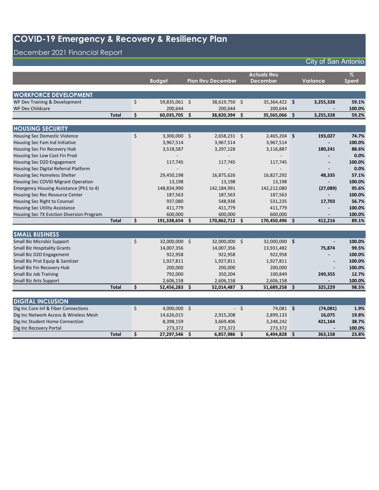## December 2021 Financial Report

|                                           |              |    |                |                    |                           |                     | <b>Actuals thru</b> |      |                          | $\%$   |
|-------------------------------------------|--------------|----|----------------|--------------------|---------------------------|---------------------|---------------------|------|--------------------------|--------|
|                                           |              |    | <b>Budget</b>  |                    | <b>Plan thru December</b> |                     | <b>December</b>     |      | <b>Variance</b>          | Spent  |
|                                           |              |    |                |                    |                           |                     |                     |      |                          |        |
| <b>WORKFORCE DEVELOPMENT</b>              |              |    |                |                    |                           |                     |                     |      |                          |        |
| WF Dev Training & Development             |              | \$ | 59,835,061 \$  |                    | 38,619,750 \$             |                     | 35,364,422 \$       |      | 3,255,328                | 59.1%  |
| <b>WF Dev Childcare</b>                   |              |    | 200,644        |                    | 200,644                   |                     | 200,644             |      |                          | 100.0% |
|                                           | <b>Total</b> | \$ | 60,035,705     | $\dot{\mathsf{s}}$ | 38,820,394 \$             |                     | 35,565,066          | -\$  | 3,255,328                | 59.2%  |
|                                           |              |    |                |                    |                           |                     |                     |      |                          |        |
| <b>HOUSING SECURITY</b>                   |              |    |                |                    |                           |                     |                     |      |                          |        |
| <b>Housing Sec Domestic Violence</b>      |              | \$ | $3,300,000$ \$ |                    | $2,658,231$ \$            |                     | 2,465,204 \$        |      | 193,027                  | 74.7%  |
| Housing Sec Fam Ind Initiative            |              |    | 3,967,514      |                    | 3,967,514                 |                     | 3,967,514           |      |                          | 100.0% |
| Housing Sec Fin Recovery Hub              |              |    | 3,518,587      |                    | 3,297,128                 |                     | 3,116,887           |      | 180,241                  | 88.6%  |
| Housing Sec Low Cost Fin Prod             |              |    |                |                    |                           |                     |                     |      |                          | 0.0%   |
| Housing Sec D2D Engagement                |              |    | 117,745        |                    | 117,745                   |                     | 117,745             |      | $\overline{\phantom{a}}$ | 100.0% |
| Housing Sec Digital Referral Platform     |              |    |                |                    |                           |                     |                     |      |                          | 0.0%   |
| Housing Sec Homeless Shelter              |              |    | 29,450,198     |                    | 16,875,626                |                     | 16,827,292          |      | 48,335                   | 57.1%  |
| Housing Sec COVID Migrant Operation       |              |    | 13,198         |                    | 13,198                    |                     | 13,198              |      |                          | 100.0% |
| Emergency Housing Assistance (Ph1 to 4)   |              |    | 148,834,990    |                    | 142,184,991               |                     | 142,212,080         |      | (27,089)                 | 95.6%  |
| Housing Sec Rec Resource Center           |              |    | 187,563        |                    | 187,563                   |                     | 187,563             |      | $\overline{a}$           | 100.0% |
| Housing Sec Right to Counsel              |              |    | 937,080        |                    | 548,938                   |                     | 531,235             |      | 17,703                   | 56.7%  |
| <b>Housing Sec Utility Assistance</b>     |              |    | 411,779        |                    | 411,779                   |                     | 411,779             |      |                          | 100.0% |
| Housing Sec TX Eviction Diversion Program |              |    | 600,000        |                    | 600,000                   |                     | 600,000             |      |                          | 100.0% |
|                                           | <b>Total</b> | Ś. | 191,338,654    | - Ś                | 170,862,712 \$            |                     | 170,450,496         | Š.   | 412,216                  | 89.1%  |
|                                           |              |    |                |                    |                           |                     |                     |      |                          |        |
| <b>SMALL BUSINESS</b>                     |              |    |                |                    |                           |                     |                     |      |                          |        |
| Small Biz Microbiz Support                |              | \$ | 32,000,000 \$  |                    | 32,000,000 \$             |                     | 32,000,000 \$       |      | $\blacksquare$           | 100.0% |
| <b>Small Biz Hospitality Grants</b>       |              |    | 14,007,356     |                    | 14,007,356                |                     | 13,931,482          |      | 75,874                   | 99.5%  |
| Small Biz D2D Engagement                  |              |    | 922,958        |                    | 922,958                   |                     | 922,958             |      |                          | 100.0% |
| Small Biz Prot Equip & Sanitizer          |              |    | 1,927,811      |                    | 1,927,811                 |                     | 1,927,811           |      | $\blacksquare$           | 100.0% |
| Small Biz Fin Recovery Hub                |              |    | 200,000        |                    | 200,000                   |                     | 200,000             |      |                          | 100.0% |
| <b>Small Biz Job Training</b>             |              |    | 792,000        |                    | 350,204                   |                     | 100,849             |      | 249,355                  | 12.7%  |
| <b>Small Biz Arts Support</b>             |              |    | 2,606,158      |                    | 2,606,158                 |                     | 2,606,158           |      |                          | 100.0% |
|                                           | <b>Total</b> | \$ | 52,456,283     | -\$                | 52,014,487 \$             |                     | 51,689,258          | -\$  | 325,229                  | 98.5%  |
|                                           |              |    |                |                    |                           |                     |                     |      |                          |        |
| <b>DIGITAL INCLUSION</b>                  |              |    |                |                    |                           |                     |                     |      |                          |        |
| Dig Inc Core Inf & Fiber Connections      |              | \$ | 4,000,000 \$   |                    |                           | $-5$                | 74,081 \$           |      | (74,081)                 | 1.9%   |
| Dig Inc Network Access & Wireless Mesh    |              |    | 14,626,015     |                    | 2,915,208                 |                     | 2,899,133           |      | 16,075                   | 19.8%  |
| Dig Inc Student Home Connection           |              |    | 8,398,159      |                    | 3,669,406                 |                     | 3,248,242           |      | 421,164                  | 38.7%  |
| Dig Inc Recovery Portal                   |              |    | 273,372        |                    | 273,372                   |                     | 273,372             |      |                          | 100.0% |
|                                           | <b>Total</b> | \$ | 27,297,546     | -\$                | 6,857,986                 | $\ddot{\bm{\zeta}}$ | 6,494,828           | - \$ | 363,158                  | 23.8%  |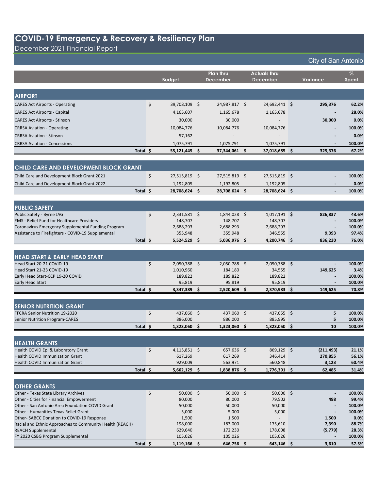December 2021 Financial Report

|                                                                                  |          |                                 | Plan thru                 | <b>Actuals thru</b>       |                                 | $\%$            |
|----------------------------------------------------------------------------------|----------|---------------------------------|---------------------------|---------------------------|---------------------------------|-----------------|
|                                                                                  |          | <b>Budget</b>                   | <b>December</b>           | <b>December</b>           | Variance                        | Spent           |
|                                                                                  |          |                                 |                           |                           |                                 |                 |
| <b>AIRPORT</b>                                                                   |          |                                 |                           |                           |                                 |                 |
| <b>CARES Act Airports - Operating</b>                                            |          | \$<br>39,708,109 \$             | 24,987,817 \$             | 24,692,441 \$             | 295,376                         | 62.2%           |
| <b>CARES Act Airports - Capital</b>                                              |          | 4,165,607                       | 1,165,678                 | 1,165,678                 |                                 | 28.0%           |
| <b>CARES Act Airports - Stinson</b>                                              |          | 30,000                          | 30,000                    |                           | 30,000                          | 0.0%            |
| <b>CRRSA Aviation - Operating</b>                                                |          | 10,084,776                      | 10,084,776                | 10,084,776                |                                 | 100.0%          |
| <b>CRRSA Aviation - Stinson</b>                                                  |          | 57,162                          | $\overline{\phantom{a}}$  | $\overline{\phantom{a}}$  |                                 | 0.0%            |
| <b>CRRSA Aviation - Concessions</b>                                              |          | 1,075,791                       | 1,075,791                 | 1,075,791                 |                                 | 100.0%          |
|                                                                                  | Total \$ | 55,121,445 \$                   | 37,344,061 \$             | 37,018,685 \$             | 325,376                         | 67.2%           |
|                                                                                  |          |                                 |                           |                           |                                 |                 |
| CHILD CARE AND DEVELOPMENT BLOCK GRANT                                           |          |                                 |                           |                           |                                 |                 |
| Child Care and Development Block Grant 2021                                      |          | \$<br>27,515,819 \$             | 27,515,819 \$             | 27,515,819 \$             |                                 | 100.0%          |
| Child Care and Development Block Grant 2022                                      |          | 1,192,805                       | 1,192,805                 | 1,192,805                 |                                 | 0.0%            |
|                                                                                  | Total \$ | 28,708,624 \$                   | 28,708,624 \$             | 28,708,624 \$             |                                 | 100.0%          |
|                                                                                  |          |                                 |                           |                           |                                 |                 |
|                                                                                  |          |                                 |                           |                           |                                 |                 |
| <b>PUBLIC SAFETY</b>                                                             |          |                                 |                           |                           |                                 |                 |
| Public Safety - Byrne JAG<br>EMS - Relief Fund for Healthcare Providers          |          | \$<br>$2,331,581$ \$<br>148,707 | $1,844,028$ \$<br>148,707 | $1,017,191$ \$<br>148,707 | 826,837                         | 43.6%<br>100.0% |
| Coronavirus Emergency Supplemental Funding Program                               |          | 2,688,293                       | 2,688,293                 | 2,688,293                 |                                 | 100.0%          |
| Assistance to Firefighters - COVID-19 Supplemental                               |          | 355,948                         | 355,948                   | 346,555                   | 9,393                           | 97.4%           |
|                                                                                  | Total \$ | 5,524,529 \$                    | 5,036,976 \$              | 4,200,746 \$              | 836,230                         | 76.0%           |
|                                                                                  |          |                                 |                           |                           |                                 |                 |
| <b>HEAD START &amp; EARLY HEAD START</b>                                         |          |                                 |                           |                           |                                 |                 |
| Head Start 20-21 COVID-19                                                        |          | \$<br>2,050,788 \$              | 2,050,788 \$              | 2,050,788 \$              | $\blacksquare$                  | 100.0%          |
| Head Start 21-23 COVID-19                                                        |          | 1,010,960                       | 184,180                   | 34,555                    | 149,625                         | 3.4%            |
| Early Head Start-CCP 19-20 COVID                                                 |          | 189,822                         | 189,822                   | 189,822                   |                                 | 100.0%          |
| Early Head Start                                                                 |          | 95,819                          | 95,819                    | 95,819                    | $\blacksquare$                  | 100.0%          |
|                                                                                  | Total \$ | 3,347,389 \$                    | 2,520,609 \$              | 2,370,983 \$              | 149,625                         | 70.8%           |
|                                                                                  |          |                                 |                           |                           |                                 |                 |
| <b>SENIOR NUTRITION GRANT</b>                                                    |          |                                 |                           |                           |                                 |                 |
| FFCRA Senior Nutrition 19-2020                                                   |          | \$<br>437,060 \$                | 437,060 \$                | 437,055 \$                | 5                               | 100.0%          |
| Senior Nutrition Program-CARES                                                   |          | 886,000                         | 886,000                   | 885,995                   | 5                               | 100.0%          |
|                                                                                  | Total \$ | 1,323,060 \$                    | 1,323,060 \$              | 1,323,050 \$              | 10                              | 100.0%          |
|                                                                                  |          |                                 |                           |                           |                                 |                 |
| <b>HEALTH GRANTS</b>                                                             |          |                                 |                           |                           |                                 |                 |
| Health COVID Epi & Laboratory Grant                                              |          | \$<br>$4,115,851$ \$            | $657,636$ \$              | $869,129$ \$              | (211, 493)                      | 21.1%           |
| <b>Health COVID Immunization Grant</b>                                           |          | 617,269                         | 617,269                   | 346,414                   | 270,855                         | 56.1%           |
| <b>Health COVID Immunization Grant</b>                                           | Total \$ | 929,009                         | 563,971                   | 560,848                   | 3,123                           | 60.4%           |
|                                                                                  |          | $5,662,129$ \$                  | 1,838,876 \$              | 1,776,391 \$              | 62,485                          | 31.4%           |
|                                                                                  |          |                                 |                           |                           |                                 |                 |
| <b>OTHER GRANTS</b>                                                              |          |                                 |                           |                           |                                 |                 |
| Other - Texas State Library Archives<br>Other - Cities for Financial Empowerment |          | \$<br>$50,000$ \$<br>80,000     | $50,000$ \$<br>80,000     | $50,000$ \$<br>79,502     | $\overline{\phantom{a}}$<br>498 | 100.0%<br>99.4% |
| Other - San Antonio Area Foundation COVID Grant                                  |          | 50,000                          | 50,000                    | 50,000                    |                                 | 100.0%          |
| Other - Humanities Texas Relief Grant                                            |          | 5,000                           | 5,000                     | 5,000                     |                                 | 100.0%          |
| Other-SABCC Donation to COVID-19 Response                                        |          | 1,500                           | 1,500                     |                           | 1,500                           | 0.0%            |
| Racial and Ethnic Approaches to Community Health (REACH)                         |          | 198,000                         | 183,000                   | 175,610                   | 7,390                           | 88.7%           |
| <b>REACH Supplemental</b>                                                        |          | 629,640                         | 172,230                   | 178,008                   | (5, 779)                        | 28.3%           |
| FY 2020 CSBG Program Supplemental                                                |          | 105,026                         | 105,026                   | 105,026                   |                                 | 100.0%          |
|                                                                                  | Total \$ | $1,119,166$ \$                  | 646,756 \$                | $643,146$ \$              | 3,610                           | 57.5%           |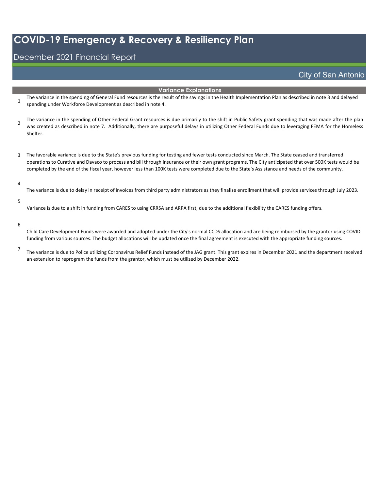## December 2021 Financial Report

### City of San Antonio

#### **Variance Explanations**

- 1 The variance in the spending of General Fund resources is the result of the savings in the Health Implementation Plan as described in note 3 and delayed spending under Workforce Development as described in note 4.
- 2 The variance in the spending of Other Federal Grant resources is due primarily to the shift in Public Safety grant spending that was made after the plan was created as described in note 7. Additionally, there are purposeful delays in utilizing Other Federal Funds due to leveraging FEMA for the Homeless Shelter.
- 3 The favorable variance is due to the State's previous funding for testing and fewer tests conducted since March. The State ceased and transferred operations to Curative and Davaco to process and bill through insurance or their own grant programs. The City anticipated that over 500K tests would be completed by the end of the fiscal year, however less than 100K tests were completed due to the State's Assistance and needs of the community.

#### 4

The variance is due to delay in receipt of invoices from third party administrators as they finalize enrollment that will provide services through July 2023.

#### 5

Variance is due to a shift in funding from CARES to using CRRSA and ARPA first, due to the additional flexibility the CARES funding offers.

#### 6

Child Care Development Funds were awarded and adopted under the City's normal CCDS allocation and are being reimbursed by the grantor using COVID funding from various sources. The budget allocations will be updated once the final agreement is executed with the appropriate funding sources.

7

The variance is due to Police utilizing Coronavirus Relief Funds instead of the JAG grant. This grant expires in December 2021 and the department received an extension to reprogram the funds from the grantor, which must be utilized by December 2022.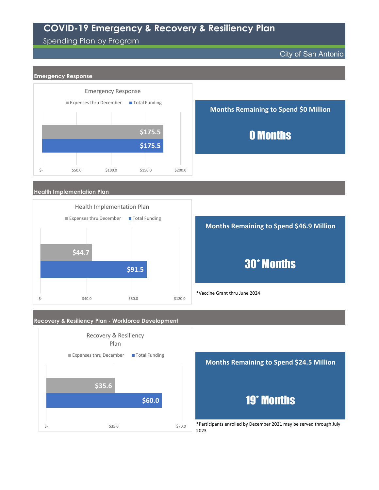## Spending Plan by Program

City of San Antonio



#### **Recovery & Resiliency Plan - Workforce Development**



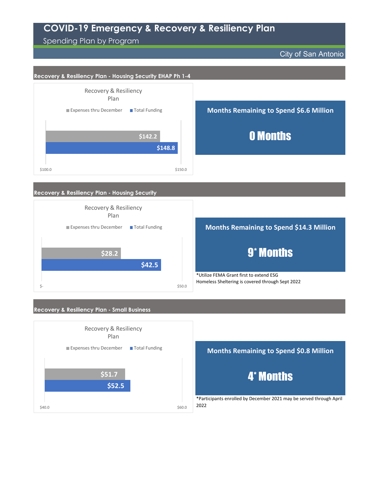Spending Plan by Program

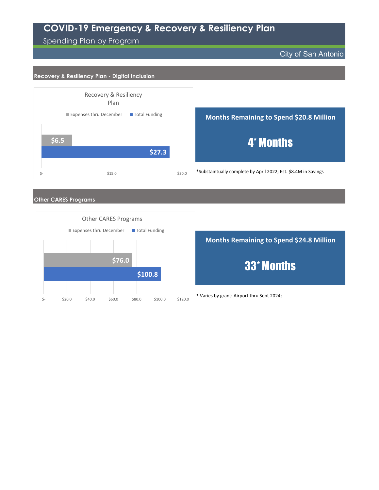Spending Plan by Program

City of San Antonio

#### **Recovery & Resiliency Plan - Digital Inclusion**



**Months Remaining to Spend \$20.8 Million**

4\* Months

\*Substaintually complete by April 2022; Est. \$8.4M in Savings

#### **Other CARES Programs**



\* Varies by grant: Airport thru Sept 2024; **Months Remaining to Spend \$24.8 Million** 33\* Months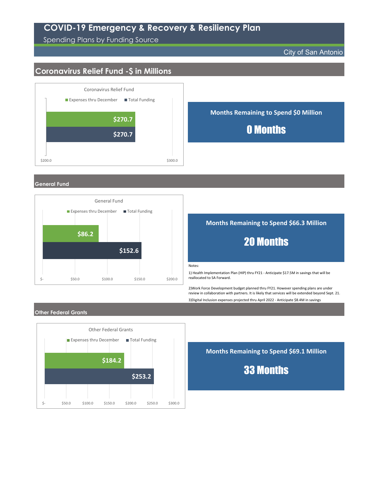Spending Plans by Funding Source

City of San Antonio

## **Coronavirus Relief Fund -\$ in Millions**



**General Fund**



**Months Remaining to Spend \$66.3 Million**

## 20 Months

Notes:

1) Health Implementation Plan (HIP) thru FY21 - Anticipate \$17.5M in savings that will be reallocated to SA Forward.

3)Digital Inclusion expenses projected thru April 2022 - Anticipate \$8.4M in savings 2)Work Force Development budget planned thru FY21. However spending plans are under review in collaboration with partners. It is likely that services will be extended beyond Sept. 21.

#### **Other Federal Grants**



**Months Remaining to Spend \$69.1 Million**

33 Months